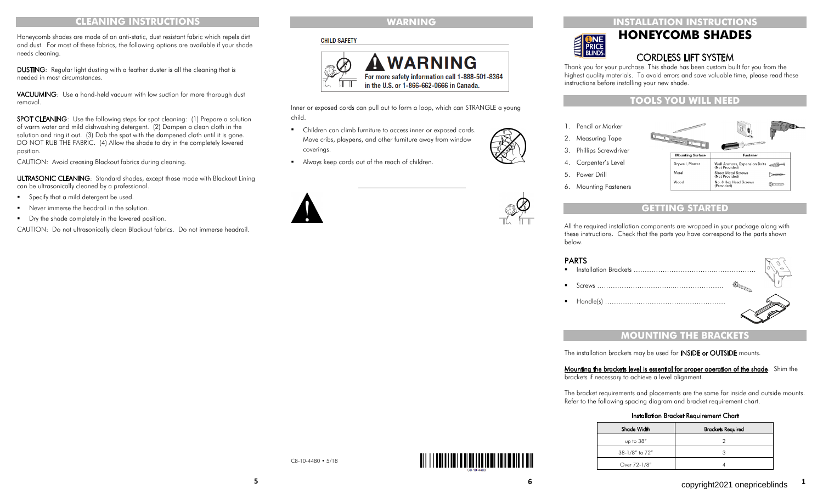### **INSTALLATION INSTRUCTIONS**



# **HONEYCOMB SHADES**

# CORDLESS LIFT SYSTEM

Thank you for your purchase. This shade has been custom built for you from the highest quality materials. To avoid errors and save valuable time, please read these instructions before installing your new shade.

# **TOOLS YOU WILL NEED**

- 1. Pencil or Marker
- 2. Measuring Tape
- 3. Phillips Screwdriver
- 4. Carpenter's Level
- 5. Power Drill
- 6. Mounting Fasteners



 $\sim$ 

# **GETTING START**

All the required installation components are wrapped in your package along with these instructions. Check that the parts you have correspond to the parts shown below.

#### **DADTC**

| <b>FANIJ</b> |  |
|--------------|--|
|              |  |
|              |  |
|              |  |
|              |  |

# **MOUNTING THE BRACKETS**

The installation brackets may be used for **INSIDE or OUTSIDE** mounts.

# Mounting the brackets level is essential for proper operation of the shade. Shim the

brackets if necessary to achieve a level alignment.

The bracket requirements and placements are the same for inside and outside mounts. Refer to the following spacing diagram and bracket requirement chart.

| Shade Width    | <b>Brackets Required</b> |  |  |
|----------------|--------------------------|--|--|
| up to 38"      |                          |  |  |
| 38-1/8" to 72" |                          |  |  |
| Over 72-1/8"   |                          |  |  |

#### Installation Bracket Requirement Chart